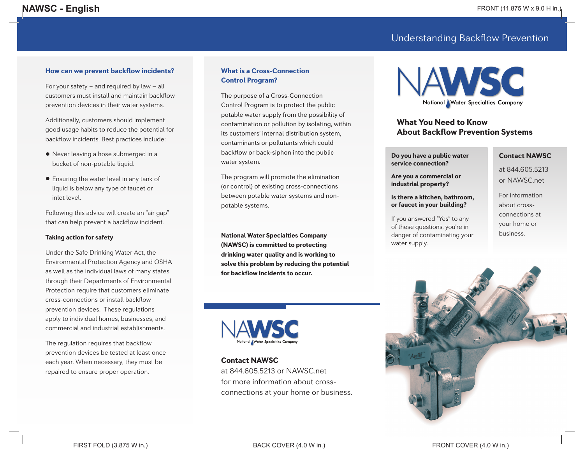# Understanding Backflow Prevention

# How can we prevent backflow incidents?

For your safety – and required by law – all customers must install and maintain backflow prevention devices in their water systems.

Additionally, customers should implement good usage habits to reduce the potential for backflow incidents. Best practices include:

- Never leaving a hose submerged in a bucket of non-potable liquid.
- Ensuring the water level in any tank of liquid is below any type of faucet or inlet level.

Following this advice will create an "air gap" that can help prevent a backflow incident.

#### Taking action for safety

Under the Safe Drinking Water Act, the Environmental Protection Agency and OSHA as well as the individual laws of many states through their Departments of Environmental Protection require that customers eliminate cross-connections or install backflow prevention devices. These regulations apply to individual homes, businesses, and commercial and industrial establishments.

The regulation requires that backflow prevention devices be tested at least once each year. When necessary, they must be repaired to ensure proper operation.

# What is a Cross-Connection Control Program?

The purpose of a Cross-Connection Control Program is to protect the public potable water supply from the possibility of contamination or pollution by isolating, within its customers' internal distribution system, contaminants or pollutants which could backflow or back-siphon into the public water system.

The program will promote the elimination (or control) of existing cross-connections between potable water systems and nonpotable systems.

National Water Specialties Company (NAWSC) is committed to protecting drinking water quality and is working to solve this problem by reducing the potential for backflow incidents to occur.



# Contact NAWSC

at 844.605.5213 or NAWSC.net for more information about crossconnections at your home or business.



# What You Need to Know About Backflow Prevention Systems

Do you have a public water service connection?

Are you a commercial or industrial property?

Is there a kitchen, bathroom, or faucet in your building?

If you answered "Yes" to any of these questions, you're in danger of contaminating your

water supply.

#### Contact NAWSC

at 844.605.5213 or NAWSC.net

> For information about crossconnections at your home or business.